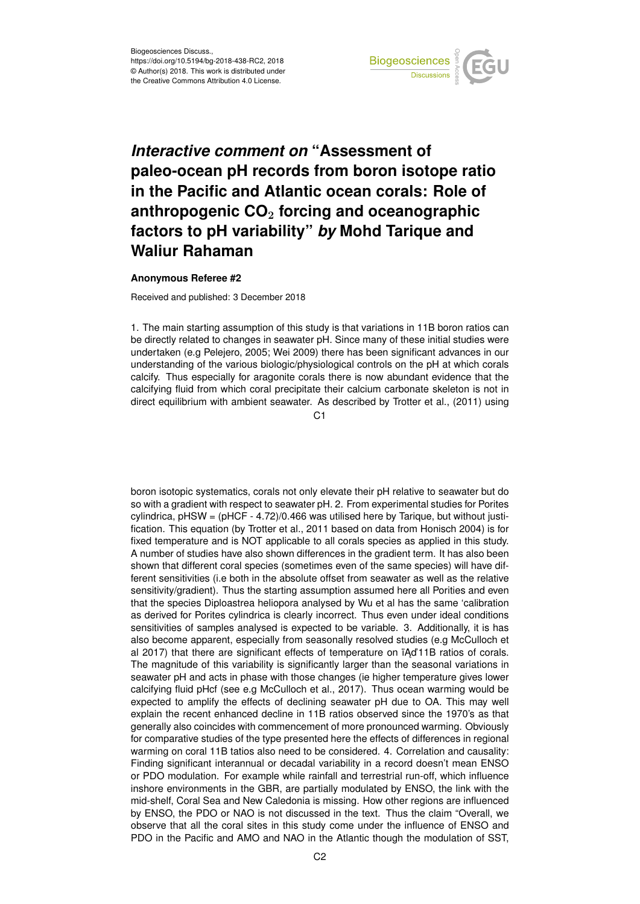

## *Interactive comment on* **"Assessment of paleo-ocean pH records from boron isotope ratio in the Pacific and Atlantic ocean corals: Role of anthropogenic CO**<sup>2</sup> **forcing and oceanographic factors to pH variability"** *by* **Mohd Tarique and Waliur Rahaman**

## **Anonymous Referee #2**

Received and published: 3 December 2018

1. The main starting assumption of this study is that variations in 11B boron ratios can be directly related to changes in seawater pH. Since many of these initial studies were undertaken (e.g Pelejero, 2005; Wei 2009) there has been significant advances in our understanding of the various biologic/physiological controls on the pH at which corals calcify. Thus especially for aragonite corals there is now abundant evidence that the calcifying fluid from which coral precipitate their calcium carbonate skeleton is not in direct equilibrium with ambient seawater. As described by Trotter et al., (2011) using

 $C<sub>1</sub>$ 

boron isotopic systematics, corals not only elevate their pH relative to seawater but do so with a gradient with respect to seawater pH. 2. From experimental studies for Porites cylindrica, pHSW = (pHCF - 4.72)/0.466 was utilised here by Tarique, but without justification. This equation (by Trotter et al., 2011 based on data from Honisch 2004) is for fixed temperature and is NOT applicable to all corals species as applied in this study. A number of studies have also shown differences in the gradient term. It has also been shown that different coral species (sometimes even of the same species) will have different sensitivities (i.e both in the absolute offset from seawater as well as the relative sensitivity/gradient). Thus the starting assumption assumed here all Porities and even that the species Diploastrea heliopora analysed by Wu et al has the same 'calibration as derived for Porites cylindrica is clearly incorrect. Thus even under ideal conditions sensitivities of samples analysed is expected to be variable. 3. Additionally, it is has also become apparent, especially from seasonally resolved studies (e.g McCulloch et al 2017) that there are significant effects of temperature on  $\overline{A}$ d'11B ratios of corals. The magnitude of this variability is significantly larger than the seasonal variations in seawater pH and acts in phase with those changes (ie higher temperature gives lower calcifying fluid pHcf (see e.g McCulloch et al., 2017). Thus ocean warming would be expected to amplify the effects of declining seawater pH due to OA. This may well explain the recent enhanced decline in 11B ratios observed since the 1970's as that generally also coincides with commencement of more pronounced warming. Obviously for comparative studies of the type presented here the effects of differences in regional warming on coral 11B tatios also need to be considered. 4. Correlation and causality: Finding significant interannual or decadal variability in a record doesn't mean ENSO or PDO modulation. For example while rainfall and terrestrial run-off, which influence inshore environments in the GBR, are partially modulated by ENSO, the link with the mid-shelf, Coral Sea and New Caledonia is missing. How other regions are influenced by ENSO, the PDO or NAO is not discussed in the text. Thus the claim "Overall, we observe that all the coral sites in this study come under the influence of ENSO and PDO in the Pacific and AMO and NAO in the Atlantic though the modulation of SST,